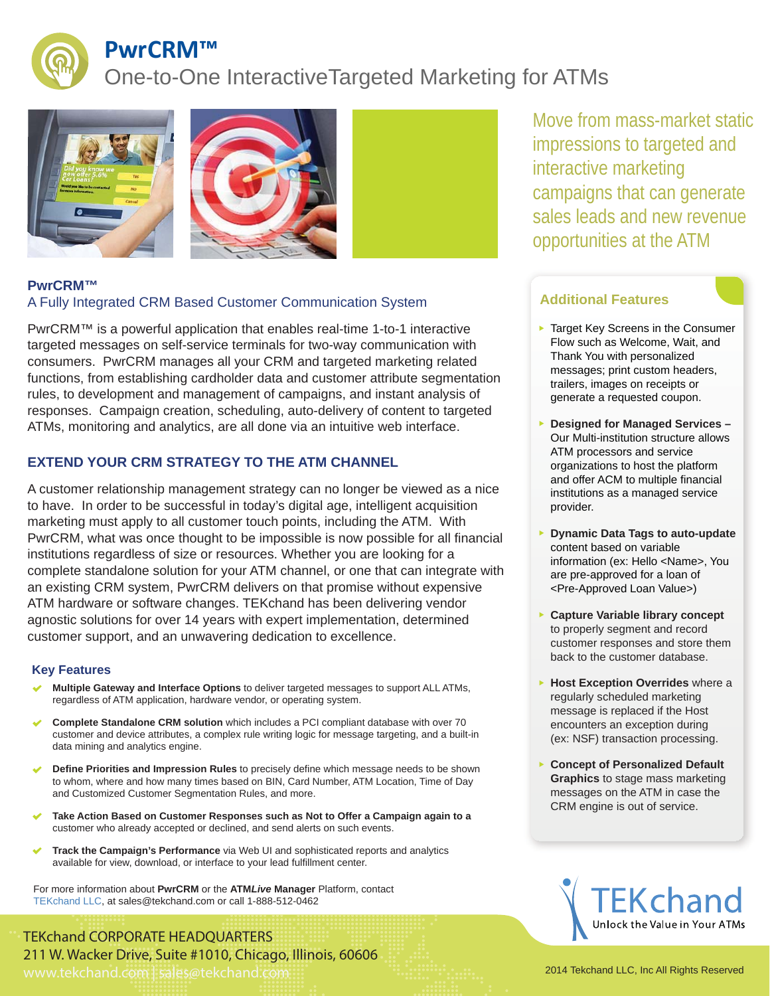

## **PwrCRM™**

## One-to-One InteractiveTargeted Marketing for ATMs







### **PwrCRM™** A Fully Integrated CRM Based Customer Communication System

PwrCRM™ is a powerful application that enables real-time 1-to-1 interactive targeted messages on self-service terminals for two-way communication with consumers. PwrCRM manages all your CRM and targeted marketing related functions, from establishing cardholder data and customer attribute segmentation rules, to development and management of campaigns, and instant analysis of responses. Campaign creation, scheduling, auto-delivery of content to targeted ATMs, monitoring and analytics, are all done via an intuitive web interface.

### **EXTEND YOUR CRM STRATEGY TO THE ATM CHANNEL**

A customer relationship management strategy can no longer be viewed as a nice to have. In order to be successful in today's digital age, intelligent acquisition marketing must apply to all customer touch points, including the ATM. With PwrCRM, what was once thought to be impossible is now possible for all financial institutions regardless of size or resources. Whether you are looking for a complete standalone solution for your ATM channel, or one that can integrate with an existing CRM system, PwrCRM delivers on that promise without expensive ATM hardware or software changes. TEKchand has been delivering vendor agnostic solutions for over 14 years with expert implementation, determined customer support, and an unwavering dedication to excellence.

### **Key Features**

- **Multiple Gateway and Interface Options** to deliver targeted messages to support ALL ATMs, regardless of ATM application, hardware vendor, or operating system.
- **Complete Standalone CRM solution** which includes a PCI compliant database with over 70 customer and device attributes, a complex rule writing logic for message targeting, and a built-in data mining and analytics engine.
- **Define Priorities and Impression Rules** to precisely define which message needs to be shown to whom, where and how many times based on BIN, Card Number, ATM Location, Time of Day and Customized Customer Segmentation Rules, and more.
- **Take Action Based on Customer Responses such as Not to Offer a Campaign again to a**  customer who already accepted or declined, and send alerts on such events.
- **Track the Campaign's Performance** via Web UI and sophisticated reports and analytics available for view, download, or interface to your lead fulfillment center.

For more information about **PwrCRM** or the **ATM***Live* **Manager** Platform, contact TEKchand LLC, at sales@tekchand.com or call 1-888-512-0462

TEKchand CORPORATE HEADQUARTERS 211 W. Wacker Drive, Suite #1010, Chicago, Illinois, 60606 www.tekchand.com | sales@tekchand.com 2014 Tekchand LLC, Inc All Rights Reserved

Move from mass-market static impressions to targeted and interactive marketing campaigns that can generate sales leads and new revenue opportunities at the ATM

### **Additional Features**

- Target Key Screens in the Consumer Flow such as Welcome, Wait, and Thank You with personalized messages; print custom headers, trailers, images on receipts or generate a requested coupon.
- **Designed for Managed Services**  Our Multi-institution structure allows ATM processors and service organizations to host the platform and offer ACM to multiple financial institutions as a managed service provider.
- **Dynamic Data Tags to auto-update**  content based on variable information (ex: Hello <Name>, You are pre-approved for a loan of <Pre-Approved Loan Value>)
- **Capture Variable library concept** to properly segment and record customer responses and store them back to the customer database.
- **Host Exception Overrides** where a regularly scheduled marketing message is replaced if the Host encounters an exception during (ex: NSF) transaction processing.
- **Concept of Personalized Default Graphics** to stage mass marketing messages on the ATM in case the CRM engine is out of service.